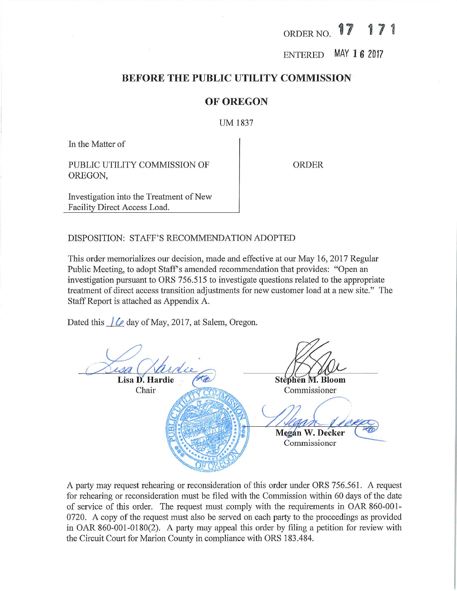#### $\sqrt{2}$ ORDER NO.

ENTERED MAY 1 6 2017

## BEFORE THE PUBLIC UTILITY COMMISSION

## OF OREGON

UM 1837

In the Matter of

PUBLIC UTILITY COMMISSION OF OREGON,

ORDER

Investigation into the Treatment of New Facility Direct Access Load.

DISPOSITION: STAFF'S RECOMMENDATION ADOPTED

This order memorializes our decision, made and effective at our May 16, 2017 Regular Public Meeting, to adopt Staff's amended recommendation that provides: "Open an investigation pursuant to ORS 756.515 to investigate questions related to the appropriate treatment of direct access transition adjustments for new customer load at a new site." The Staff Report is attached as Appendix A.

Dated this  $/ \sqrt{\ell}$  day of May, 2017, at Salem, Oregon.

 $\omega$ Lisa D. Hardie (*te*) Stephen M. Bloom Chair Commissioner  $\frac{1}{4}$  /  $\frac{1}{2}$ Megan W. Decker Commissioner

A party may request rehearing or reconsideration of this order under ORS 756.561. A request for rehearing or reconsideration must be filed with the Commission within 60 days of the date of service of this order. The request must comply with the requirements in OAR 860-001-0720. A copy of the request must also be served on each party to the proceedings as provided in OAR 860-001-0180(2). A party may appeal this order by filing a petition for review with the Circuit Court for Marion County in compliance with ORS 183.484.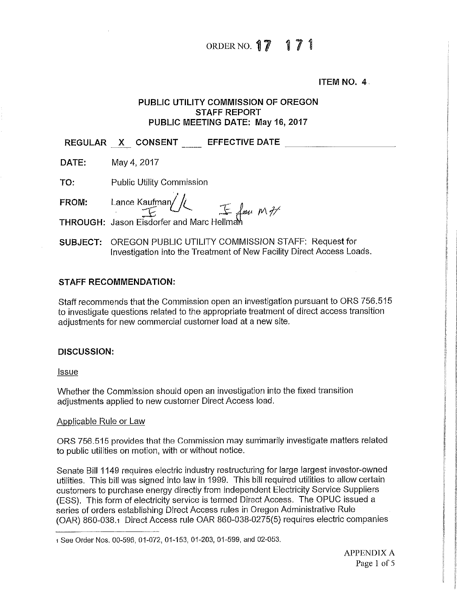## ORDER NO.  $17 17 1$

ITEM NO. 4

## PUBLIC UTILITY COMMISSION OF OREGON STAFF REPORT PUBLIC MEETING DATE: May 16, 2017

REGULAR X CONSENT EFFECTIVE DATE

**DATE:** May 4, 2017

TO: Public Utility Commission

F**ROM:** Lance Kaufman/

 $\mathcal{F}$   $\cup$   $\sim$   $\mathcal{F}$  for  $M^{\#}$ 

THROUGH: Jason Eisdorferand Marc HeiIm^A

SUBJECT: OREGON PUBLIC UTILITY COMMISSiON STAFF: Request for Investigation into the Treatment of New Facility Direct Access Loads.

## STAFF RECOMMENDATION:

Staff recommends that the Commission open an investigation pursuant to ORS 756.515 to investigate questions related to the appropriate treatment of direct access transition adjustments for new commercial customer load at a new site.

## DISCUSSION:

Issue

Whether the Commission should open an investigation into the fixed transition adjustments applied to new customer Direct Access load.

## Appiicable Rule or Law

ORS 756.515 provides that the Commission may summarily investigate matters related to public utilities on motion, with or without notice.

Senate Bill 1149 requires efectric industry restructuring for large largest investor-owned utilities. This bill was signed into law in 1999. This bill required utilities to allow certain customers to purchase energy directly from independent Electricity Service Suppliers (ESS). This form of electricity service is termed Direct Access. The OPUC issued a series of orders establishing Direct Access rules in Oregon Administrative Rule (OAR) 860-038.1 Direct Access rule OAR 860-038-0275(5) requires electric companies

<sup>1</sup> See Order Nos. 00-596, 01-072, 01-153, 01-203, 01-599, and 02-053.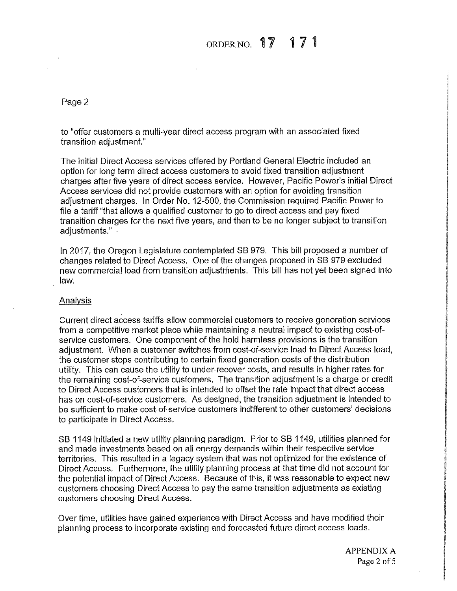#### ORDER NO. 17 171

Page 2

to "offer customers a multi-year direct access program with an associated fixed transition adjustment."

The initial Direct Access services offered by Portland General Electric included an option for long term direct access customers to avoid fixed transition adjustment j charges after five years of direct access service. However, Pacific Power's initial Direct | Access services did not provide customers with an option for avoiding transition | adjustment charges. In Order No. 12-500, the Commission required Pacific Power to | file a tariff "that allows a qualified customer to go to direct access and pay fixed transition charges for the next five years, and then to be no longer subject to transition [ adiustments."

In 2017, the Oregon Legislature contemplated SB 979. This bill proposed a number of changes related to Direct Access. One of the changes proposed in SB 979 excluded j new commercial load from transition adjustments. This bill has not yet been signed into  $\mathsf{W}.$ 

### Analysis

Current direct access tariffs allow commercial customers to receive generation services | from a competitive market place while maintaining a neutral impact to existing cost-ofservice customers. One component of the hold harmless provisions is the transition adjustment. When a customer switches from cost-of-service load to Direct Access load, j the customer stops contributing to certain fixed generation costs of the distribution j utility. This can cause the utility to under-recover costs, and results in higher rates for | the remaining cost-of-service customers. The transition adjustment is a charge or credit to Direct Access customers that is intended to offset the rate impact that direct access has on cost-of-service customers. As designed, the transition adjustment is intended to be sufficient to make cost-of-service customers indifferent to other customers' decisions to participate in Direct Access.

SB 1149 initiated a new utility planning paradigm. Prior to SB 1149, utilities planned for and made investments based on all energy demands within their respective service territories. This resulted in a iegacy system that was not optimized for the existence of | Direct Access, Furthermore, the utility planning process at that time did not account for the potential impact of Direct Access. Because of this, if was reasonable to expect new j customers choosing Direct Access to pay the same transition adjustments as existing | customers choosing Direct Access. |

Over time, utilities have gained experience with Direct Access and have modified their planning process to incorporate existing and forecasted future direct access loads. |

i

I

1

fi

I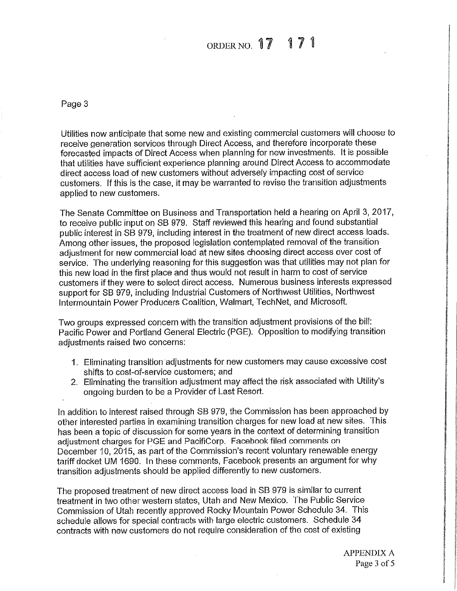#### ORDER NO.  $17$

Page 3

Utilities now anticipate that some new and existing commercial customers will choose to receive generation services through Direct Access, and therefore incorporate these forecasted impacts of Direct Access when planning for new investments. It is possible that utiiities have sufficient experience planning around Direct Access to accommodate direct access load of new customers without adversely impacting cost of service customers. If this is the case, it may be warranted to revise the transition adjustments applied to new customers.

The Senate Committee on Business and Transportation held a hearing on April 3, 2017, to receive public input on SB 979, Staff reviewed this hearing and found substantial public interest in SB 979, including interest in the treatment of new direct access loads. Among other issues, the proposed legislation contemplated removal of the transition adjustment for new commercial load at new sites choosing direct access over cost of service. The underlying reasoning for this suggestion was that utilities may not plan for this new load in the first place and thus wouid not result in harm to cost of service customers if they were to select direct access. Numerous business interests expressed support for SB 979, including Industria! Customers of Northwest Utilities, Northwest Intermountain Power Producers Coalition, Walmart, TechNet, and Microsoft.

Two groups expressed concern with the transition adjustment provisions of the bill: Pacific Power and Portland General Electric (PGE). Opposition to modifying transition adiustments raised two concerns:

- 1. Eliminating transition adjustments for new customers may cause excessive cost shifts to cost-of-service customers; and
- 2. Eliminating the transition adjustment may affect the risk associated with Utility's ongoing burden to be a Provider of Last Resort.

In addition to interest raised through SB 979, the Commission has been approached by other interested parties in examining transition charges for new load at new sites. This has been a topic of discussion for some years in the context of determining transition adjustment charges for PGE and PacifiCorp. Facebook filed comments on December 10, 2015, as part of the Commission's recent voluntary renewable energy tariff docket UM 1690. In these comments, Facebook presents an argument for why transition adjustments should be applied differently to new customers.

The proposed treatment of new direct access load in SB 979 is similar to current treatment in two other western states, Utah and New Mexico, The Public Service Commission of Utah recently approved Rocky Mountain Power Schedule 34. This schedule allows for special contracts with large electric customers. Schedule 34 contracts with new customers do not require consideration of the cost of existing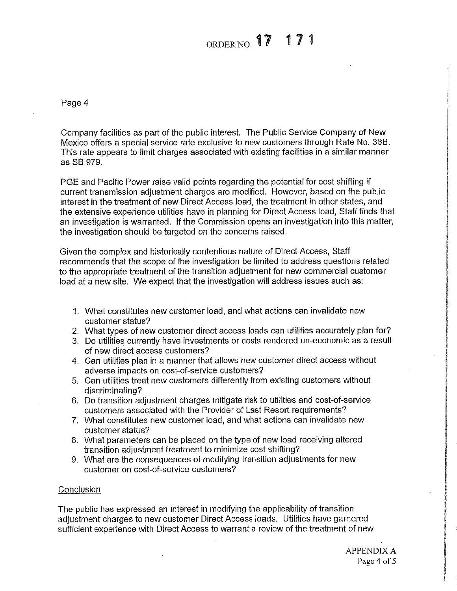# ORDER NO. 17 17 1

Page 4

Company facilities as part of the pubiic interest The Public Service Company of New Mexico offers a special service rate exclusive to new customers through Rate No. 36B. This rate appears to limit charges associated with existing facilities in a similar manner  $\sim$  SB 979. In the set of the set of the set of the set of the set of the set of the set of the set of the set of the set of the set of the set of the set of the set of the set of the set of the set of the set of the set

PGE and Pacific Power raise valid points regarding the potential for cost shifting if current transmission adjustment charges are modified. However, based on the public interest in the treatment of new Direct Access load, the treatment in other states, and the extensive experience utilities have in planning for Direct Access load, Staff finds that an investigation is warranted. If the Commission opens an investigation into this matter, the investigation should be targeted on the concerns raised.

Given the complex and historically contentious nature of Direct Access, Staff | recommends that the scope of the investigation be limited to address questions related to the appropriate treatment of the transition adjustment for new commercial customer load at a new site. We expect that the investigation will address issues such as:

- 1. What constitutes new customer load, and what actions can invalidate new customer status?
- 2. What types of new customer direct access ioads can uttlities accurately plan for?
- 3. Do utilities currently have investments or costs rendered un-economic as a result of new direct access customers? |
- 4. Can utilities plan in a manner that allows new customer direct access without | adverse impacts on cost-of-service customers?
- 5. Can utilities treat new customers differently from existing customers without | discriminating?
- 6. Do transition adjustment charges mitigate risk to utilities and cost-of-service | customers associated with the Provider of Last Resort requirements?
- 7. What constitutes new customer load, and what actions can invalidate new j customer status?
- 8. What parameters can be placed on the type of new load receiving altered transition adjustment treatment to minimize cost shifting? |
- 9. What are the consequences of modifying transition adjustments for new customer on cost-of-service customers?

## $\mathcal{L}$  onclusion . In the conclusion . In the conclusion . In the conclusion . In the conclusion . In the conclusion .

The public has expressed an interest in modifying the applicability of transition j adjustment charges to new customer Direct Access loads. Utilities have garnered | sufficient experience with Direct Access to warrant a review of the treatment of new i

I

I

j I<br>I